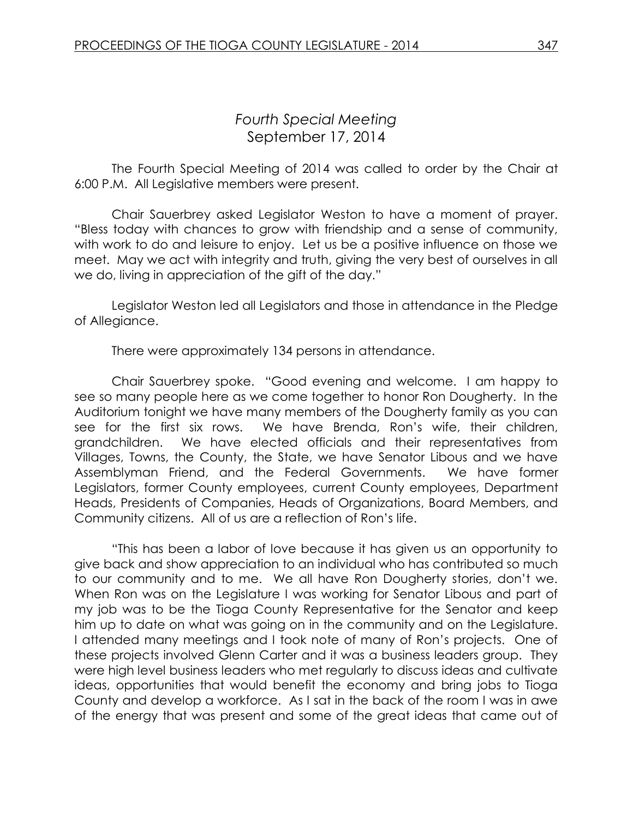## *Fourth Special Meeting* September 17, 2014

The Fourth Special Meeting of 2014 was called to order by the Chair at 6:00 P.M. All Legislative members were present.

Chair Sauerbrey asked Legislator Weston to have a moment of prayer. "Bless today with chances to grow with friendship and a sense of community, with work to do and leisure to enjoy. Let us be a positive influence on those we meet. May we act with integrity and truth, giving the very best of ourselves in all we do, living in appreciation of the gift of the day."

Legislator Weston led all Legislators and those in attendance in the Pledge of Allegiance.

There were approximately 134 persons in attendance.

Chair Sauerbrey spoke. "Good evening and welcome. I am happy to see so many people here as we come together to honor Ron Dougherty. In the Auditorium tonight we have many members of the Dougherty family as you can see for the first six rows. We have Brenda, Ron's wife, their children, grandchildren. We have elected officials and their representatives from Villages, Towns, the County, the State, we have Senator Libous and we have Assemblyman Friend, and the Federal Governments. We have former Legislators, former County employees, current County employees, Department Heads, Presidents of Companies, Heads of Organizations, Board Members, and Community citizens. All of us are a reflection of Ron's life.

"This has been a labor of love because it has given us an opportunity to give back and show appreciation to an individual who has contributed so much to our community and to me. We all have Ron Dougherty stories, don't we. When Ron was on the Legislature I was working for Senator Libous and part of my job was to be the Tioga County Representative for the Senator and keep him up to date on what was going on in the community and on the Legislature. I attended many meetings and I took note of many of Ron's projects. One of these projects involved Glenn Carter and it was a business leaders group. They were high level business leaders who met regularly to discuss ideas and cultivate ideas, opportunities that would benefit the economy and bring jobs to Tioga County and develop a workforce. As I sat in the back of the room I was in awe of the energy that was present and some of the great ideas that came out of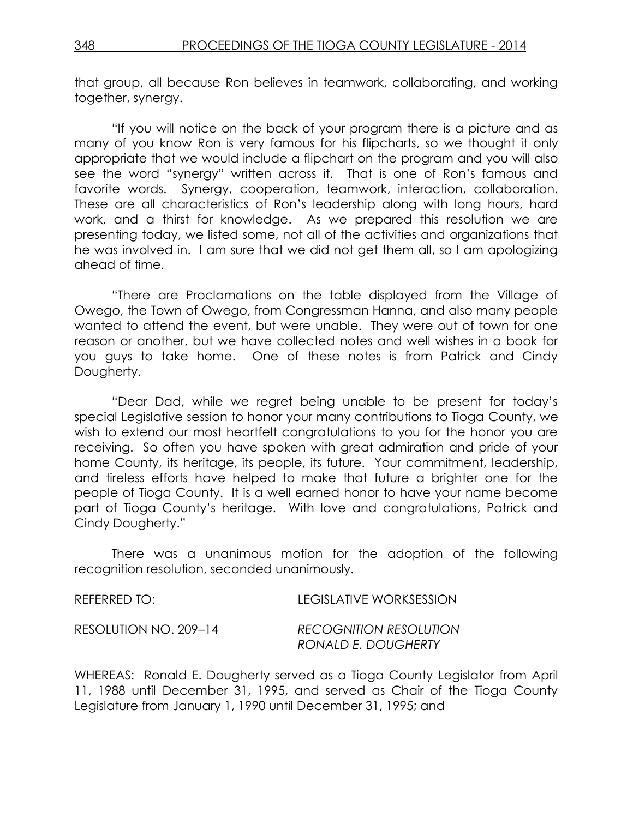that group, all because Ron believes in teamwork, collaborating, and working together, synergy.

"If you will notice on the back of your program there is a picture and as many of you know Ron is very famous for his flipcharts, so we thought it only appropriate that we would include a flipchart on the program and you will also see the word "synergy" written across it. That is one of Ron's famous and favorite words. Synergy, cooperation, teamwork, interaction, collaboration. These are all characteristics of Ron's leadership along with long hours, hard work, and a thirst for knowledge. As we prepared this resolution we are presenting today, we listed some, not all of the activities and organizations that he was involved in. I am sure that we did not get them all, so I am apologizing ahead of time.

"There are Proclamations on the table displayed from the Village of Owego, the Town of Owego, from Congressman Hanna, and also many people wanted to attend the event, but were unable. They were out of town for one reason or another, but we have collected notes and well wishes in a book for you guys to take home. One of these notes is from Patrick and Cindy Dougherty.

"Dear Dad, while we regret being unable to be present for today's special Legislative session to honor your many contributions to Tioga County, we wish to extend our most heartfelt congratulations to you for the honor you are receiving. So often you have spoken with great admiration and pride of your home County, its heritage, its people, its future. Your commitment, leadership, and tireless efforts have helped to make that future a brighter one for the people of Tioga County. It is a well earned honor to have your name become part of Tioga County's heritage. With love and congratulations, Patrick and Cindy Dougherty."

There was a unanimous motion for the adoption of the following recognition resolution, seconded unanimously.

| REFERRED TO:          | LEGISLATIVE WORKSESSION                              |
|-----------------------|------------------------------------------------------|
| RESOLUTION NO. 209-14 | <b>RECOGNITION RESOLUTION</b><br>RONALD E. DOUGHERTY |

WHEREAS: Ronald E. Dougherty served as a Tioga County Legislator from April 11, 1988 until December 31, 1995, and served as Chair of the Tioga County Legislature from January 1, 1990 until December 31, 1995; and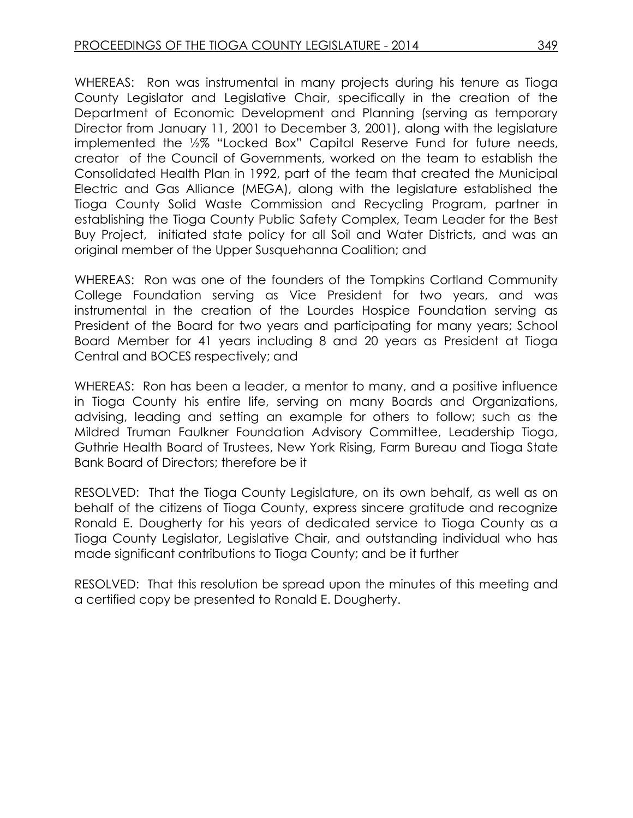WHEREAS: Ron was instrumental in many projects during his tenure as Tioga County Legislator and Legislative Chair, specifically in the creation of the Department of Economic Development and Planning (serving as temporary Director from January 11, 2001 to December 3, 2001), along with the legislature implemented the ½% "Locked Box" Capital Reserve Fund for future needs, creator of the Council of Governments, worked on the team to establish the Consolidated Health Plan in 1992, part of the team that created the Municipal Electric and Gas Alliance (MEGA), along with the legislature established the Tioga County Solid Waste Commission and Recycling Program, partner in establishing the Tioga County Public Safety Complex, Team Leader for the Best Buy Project, initiated state policy for all Soil and Water Districts, and was an original member of the Upper Susquehanna Coalition; and

WHEREAS: Ron was one of the founders of the Tompkins Cortland Community College Foundation serving as Vice President for two years, and was instrumental in the creation of the Lourdes Hospice Foundation serving as President of the Board for two years and participating for many years; School Board Member for 41 years including 8 and 20 years as President at Tioga Central and BOCES respectively; and

WHEREAS: Ron has been a leader, a mentor to many, and a positive influence in Tioga County his entire life, serving on many Boards and Organizations, advising, leading and setting an example for others to follow; such as the Mildred Truman Faulkner Foundation Advisory Committee, Leadership Tioga, Guthrie Health Board of Trustees, New York Rising, Farm Bureau and Tioga State Bank Board of Directors; therefore be it

RESOLVED: That the Tioga County Legislature, on its own behalf, as well as on behalf of the citizens of Tioga County, express sincere gratitude and recognize Ronald E. Dougherty for his years of dedicated service to Tioga County as a Tioga County Legislator, Legislative Chair, and outstanding individual who has made significant contributions to Tioga County; and be it further

RESOLVED: That this resolution be spread upon the minutes of this meeting and a certified copy be presented to Ronald E. Dougherty.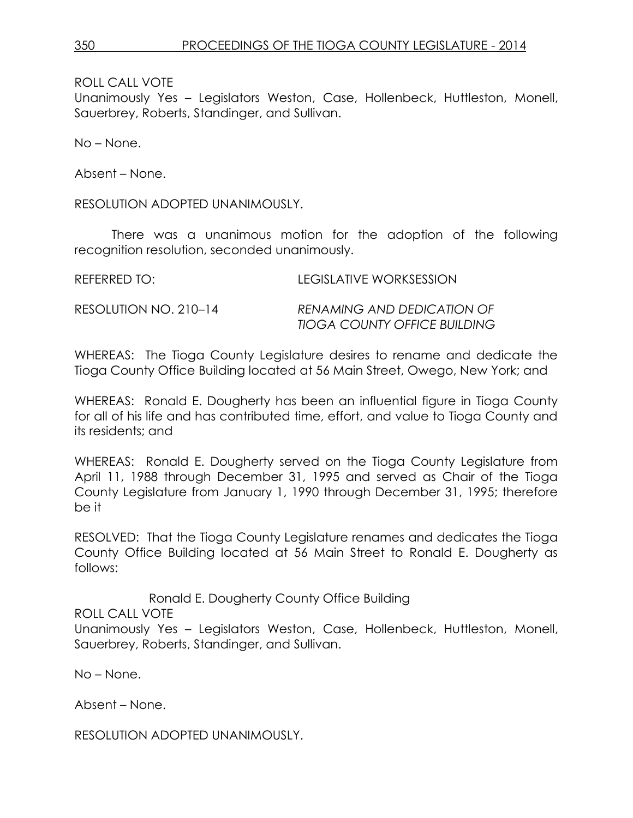ROLL CALL VOTE

Unanimously Yes – Legislators Weston, Case, Hollenbeck, Huttleston, Monell, Sauerbrey, Roberts, Standinger, and Sullivan.

No – None.

Absent – None.

RESOLUTION ADOPTED UNANIMOUSLY.

There was a unanimous motion for the adoption of the following recognition resolution, seconded unanimously.

| REFERRED TO:          | LEGISLATIVE WORKSESSION                                           |
|-----------------------|-------------------------------------------------------------------|
| RESOLUTION NO. 210–14 | RENAMING AND DEDICATION OF<br><b>TIOGA COUNTY OFFICE BUILDING</b> |

WHEREAS: The Tioga County Legislature desires to rename and dedicate the Tioga County Office Building located at 56 Main Street, Owego, New York; and

WHEREAS: Ronald E. Dougherty has been an influential figure in Tioga County for all of his life and has contributed time, effort, and value to Tioga County and its residents; and

WHEREAS: Ronald E. Dougherty served on the Tioga County Legislature from April 11, 1988 through December 31, 1995 and served as Chair of the Tioga County Legislature from January 1, 1990 through December 31, 1995; therefore be it

RESOLVED: That the Tioga County Legislature renames and dedicates the Tioga County Office Building located at 56 Main Street to Ronald E. Dougherty as follows:

Ronald E. Dougherty County Office Building ROLL CALL VOTE Unanimously Yes – Legislators Weston, Case, Hollenbeck, Huttleston, Monell, Sauerbrey, Roberts, Standinger, and Sullivan.

No – None.

Absent – None.

RESOLUTION ADOPTED UNANIMOUSLY.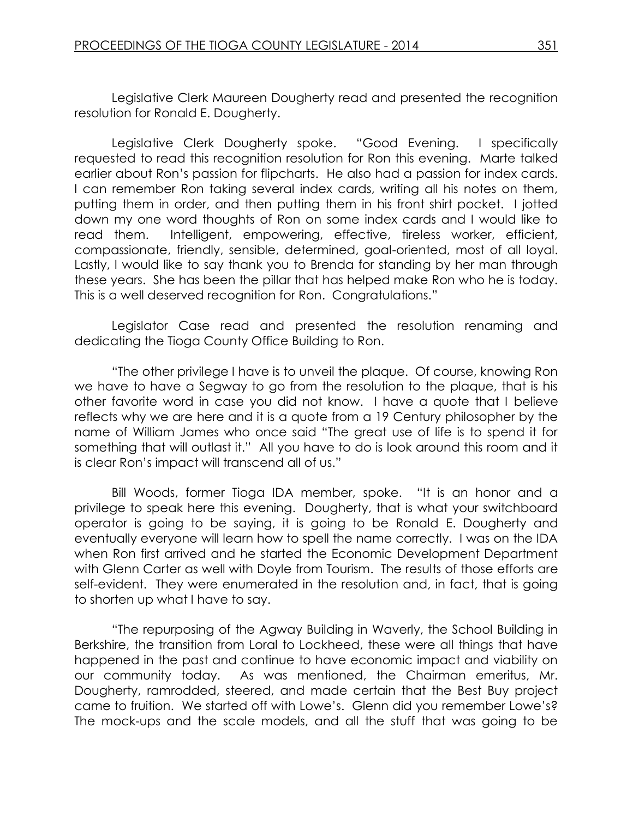Legislative Clerk Maureen Dougherty read and presented the recognition resolution for Ronald E. Dougherty.

Legislative Clerk Dougherty spoke. "Good Evening. I specifically requested to read this recognition resolution for Ron this evening. Marte talked earlier about Ron's passion for flipcharts. He also had a passion for index cards. I can remember Ron taking several index cards, writing all his notes on them, putting them in order, and then putting them in his front shirt pocket. I jotted down my one word thoughts of Ron on some index cards and I would like to read them. Intelligent, empowering, effective, tireless worker, efficient, compassionate, friendly, sensible, determined, goal-oriented, most of all loyal. Lastly, I would like to say thank you to Brenda for standing by her man through these years. She has been the pillar that has helped make Ron who he is today. This is a well deserved recognition for Ron. Congratulations."

Legislator Case read and presented the resolution renaming and dedicating the Tioga County Office Building to Ron.

"The other privilege I have is to unveil the plaque. Of course, knowing Ron we have to have a Segway to go from the resolution to the plaque, that is his other favorite word in case you did not know. I have a quote that I believe reflects why we are here and it is a quote from a 19 Century philosopher by the name of William James who once said "The great use of life is to spend it for something that will outlast it." All you have to do is look around this room and it is clear Ron's impact will transcend all of us."

Bill Woods, former Tioga IDA member, spoke. "It is an honor and a privilege to speak here this evening. Dougherty, that is what your switchboard operator is going to be saying, it is going to be Ronald E. Dougherty and eventually everyone will learn how to spell the name correctly. I was on the IDA when Ron first arrived and he started the Economic Development Department with Glenn Carter as well with Doyle from Tourism. The results of those efforts are self-evident. They were enumerated in the resolution and, in fact, that is going to shorten up what I have to say.

"The repurposing of the Agway Building in Waverly, the School Building in Berkshire, the transition from Loral to Lockheed, these were all things that have happened in the past and continue to have economic impact and viability on our community today. As was mentioned, the Chairman emeritus, Mr. Dougherty, ramrodded, steered, and made certain that the Best Buy project came to fruition. We started off with Lowe's. Glenn did you remember Lowe's? The mock-ups and the scale models, and all the stuff that was going to be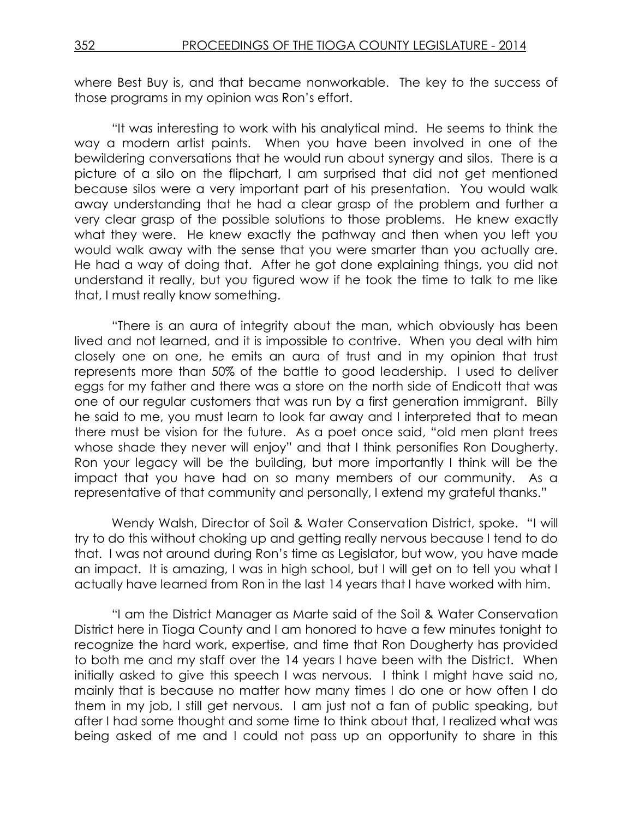where Best Buy is, and that became nonworkable. The key to the success of those programs in my opinion was Ron's effort.

"It was interesting to work with his analytical mind. He seems to think the way a modern artist paints. When you have been involved in one of the bewildering conversations that he would run about synergy and silos. There is a picture of a silo on the flipchart, I am surprised that did not get mentioned because silos were a very important part of his presentation. You would walk away understanding that he had a clear grasp of the problem and further a very clear grasp of the possible solutions to those problems. He knew exactly what they were. He knew exactly the pathway and then when you left you would walk away with the sense that you were smarter than you actually are. He had a way of doing that. After he got done explaining things, you did not understand it really, but you figured wow if he took the time to talk to me like that, I must really know something.

"There is an aura of integrity about the man, which obviously has been lived and not learned, and it is impossible to contrive. When you deal with him closely one on one, he emits an aura of trust and in my opinion that trust represents more than 50% of the battle to good leadership. I used to deliver eggs for my father and there was a store on the north side of Endicott that was one of our regular customers that was run by a first generation immigrant. Billy he said to me, you must learn to look far away and I interpreted that to mean there must be vision for the future. As a poet once said, "old men plant trees whose shade they never will enjoy" and that I think personifies Ron Dougherty. Ron your legacy will be the building, but more importantly I think will be the impact that you have had on so many members of our community. As a representative of that community and personally, I extend my grateful thanks."

Wendy Walsh, Director of Soil & Water Conservation District, spoke. "I will try to do this without choking up and getting really nervous because I tend to do that. I was not around during Ron's time as Legislator, but wow, you have made an impact. It is amazing, I was in high school, but I will get on to tell you what I actually have learned from Ron in the last 14 years that I have worked with him.

"I am the District Manager as Marte said of the Soil & Water Conservation District here in Tioga County and I am honored to have a few minutes tonight to recognize the hard work, expertise, and time that Ron Dougherty has provided to both me and my staff over the 14 years I have been with the District. When initially asked to give this speech I was nervous. I think I might have said no, mainly that is because no matter how many times I do one or how often I do them in my job, I still get nervous. I am just not a fan of public speaking, but after I had some thought and some time to think about that, I realized what was being asked of me and I could not pass up an opportunity to share in this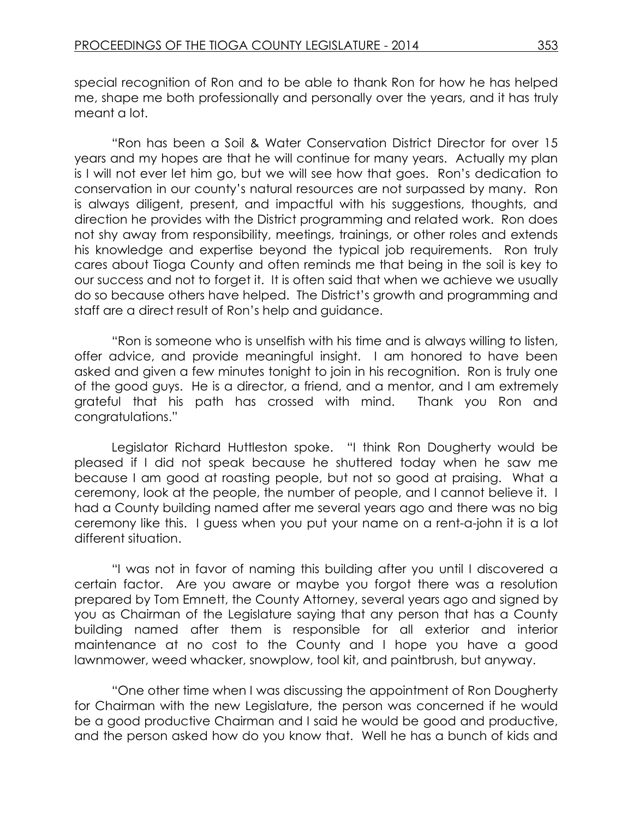special recognition of Ron and to be able to thank Ron for how he has helped me, shape me both professionally and personally over the years, and it has truly meant a lot.

"Ron has been a Soil & Water Conservation District Director for over 15 years and my hopes are that he will continue for many years. Actually my plan is I will not ever let him go, but we will see how that goes. Ron's dedication to conservation in our county's natural resources are not surpassed by many. Ron is always diligent, present, and impactful with his suggestions, thoughts, and direction he provides with the District programming and related work. Ron does not shy away from responsibility, meetings, trainings, or other roles and extends his knowledge and expertise beyond the typical job requirements. Ron truly cares about Tioga County and often reminds me that being in the soil is key to our success and not to forget it. It is often said that when we achieve we usually do so because others have helped. The District's growth and programming and staff are a direct result of Ron's help and guidance.

"Ron is someone who is unselfish with his time and is always willing to listen, offer advice, and provide meaningful insight. I am honored to have been asked and given a few minutes tonight to join in his recognition. Ron is truly one of the good guys. He is a director, a friend, and a mentor, and I am extremely grateful that his path has crossed with mind. Thank you Ron and congratulations."

Legislator Richard Huttleston spoke. "I think Ron Dougherty would be pleased if I did not speak because he shuttered today when he saw me because I am good at roasting people, but not so good at praising. What a ceremony, look at the people, the number of people, and I cannot believe it. I had a County building named after me several years ago and there was no big ceremony like this. I guess when you put your name on a rent-a-john it is a lot different situation.

"I was not in favor of naming this building after you until I discovered a certain factor. Are you aware or maybe you forgot there was a resolution prepared by Tom Emnett, the County Attorney, several years ago and signed by you as Chairman of the Legislature saying that any person that has a County building named after them is responsible for all exterior and interior maintenance at no cost to the County and I hope you have a good lawnmower, weed whacker, snowplow, tool kit, and paintbrush, but anyway.

"One other time when I was discussing the appointment of Ron Dougherty for Chairman with the new Legislature, the person was concerned if he would be a good productive Chairman and I said he would be good and productive, and the person asked how do you know that. Well he has a bunch of kids and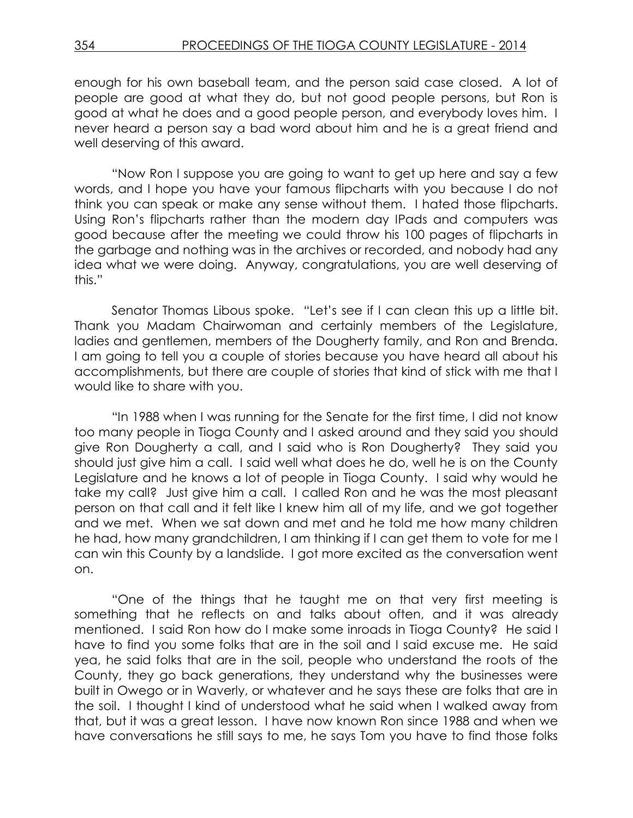enough for his own baseball team, and the person said case closed. A lot of people are good at what they do, but not good people persons, but Ron is good at what he does and a good people person, and everybody loves him. I never heard a person say a bad word about him and he is a great friend and well deserving of this award.

"Now Ron I suppose you are going to want to get up here and say a few words, and I hope you have your famous flipcharts with you because I do not think you can speak or make any sense without them. I hated those flipcharts. Using Ron's flipcharts rather than the modern day IPads and computers was good because after the meeting we could throw his 100 pages of flipcharts in the garbage and nothing was in the archives or recorded, and nobody had any idea what we were doing. Anyway, congratulations, you are well deserving of this."

Senator Thomas Libous spoke. "Let's see if I can clean this up a little bit. Thank you Madam Chairwoman and certainly members of the Legislature, ladies and gentlemen, members of the Dougherty family, and Ron and Brenda. I am going to tell you a couple of stories because you have heard all about his accomplishments, but there are couple of stories that kind of stick with me that I would like to share with you.

"In 1988 when I was running for the Senate for the first time, I did not know too many people in Tioga County and I asked around and they said you should give Ron Dougherty a call, and I said who is Ron Dougherty? They said you should just give him a call. I said well what does he do, well he is on the County Legislature and he knows a lot of people in Tioga County. I said why would he take my call? Just give him a call. I called Ron and he was the most pleasant person on that call and it felt like I knew him all of my life, and we got together and we met. When we sat down and met and he told me how many children he had, how many grandchildren, I am thinking if I can get them to vote for me I can win this County by a landslide. I got more excited as the conversation went on.

"One of the things that he taught me on that very first meeting is something that he reflects on and talks about often, and it was already mentioned. I said Ron how do I make some inroads in Tioga County? He said I have to find you some folks that are in the soil and I said excuse me. He said yea, he said folks that are in the soil, people who understand the roots of the County, they go back generations, they understand why the businesses were built in Owego or in Waverly, or whatever and he says these are folks that are in the soil. I thought I kind of understood what he said when I walked away from that, but it was a great lesson. I have now known Ron since 1988 and when we have conversations he still says to me, he says Tom you have to find those folks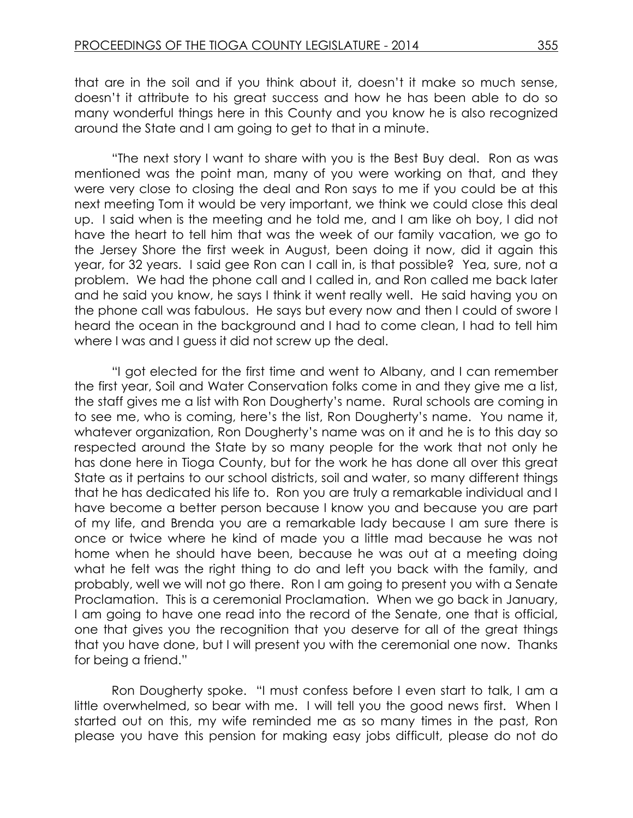that are in the soil and if you think about it, doesn't it make so much sense, doesn't it attribute to his great success and how he has been able to do so many wonderful things here in this County and you know he is also recognized around the State and I am going to get to that in a minute.

"The next story I want to share with you is the Best Buy deal. Ron as was mentioned was the point man, many of you were working on that, and they were very close to closing the deal and Ron says to me if you could be at this next meeting Tom it would be very important, we think we could close this deal up. I said when is the meeting and he told me, and I am like oh boy, I did not have the heart to tell him that was the week of our family vacation, we go to the Jersey Shore the first week in August, been doing it now, did it again this year, for 32 years. I said gee Ron can I call in, is that possible? Yea, sure, not a problem. We had the phone call and I called in, and Ron called me back later and he said you know, he says I think it went really well. He said having you on the phone call was fabulous. He says but every now and then I could of swore I heard the ocean in the background and I had to come clean, I had to tell him where I was and I guess it did not screw up the deal.

"I got elected for the first time and went to Albany, and I can remember the first year, Soil and Water Conservation folks come in and they give me a list, the staff gives me a list with Ron Dougherty's name. Rural schools are coming in to see me, who is coming, here's the list, Ron Dougherty's name. You name it, whatever organization, Ron Dougherty's name was on it and he is to this day so respected around the State by so many people for the work that not only he has done here in Tioga County, but for the work he has done all over this great State as it pertains to our school districts, soil and water, so many different things that he has dedicated his life to. Ron you are truly a remarkable individual and I have become a better person because I know you and because you are part of my life, and Brenda you are a remarkable lady because I am sure there is once or twice where he kind of made you a little mad because he was not home when he should have been, because he was out at a meeting doing what he felt was the right thing to do and left you back with the family, and probably, well we will not go there. Ron I am going to present you with a Senate Proclamation. This is a ceremonial Proclamation. When we go back in January, I am going to have one read into the record of the Senate, one that is official, one that gives you the recognition that you deserve for all of the great things that you have done, but I will present you with the ceremonial one now. Thanks for being a friend."

Ron Dougherty spoke. "I must confess before I even start to talk, I am a little overwhelmed, so bear with me. I will tell you the good news first. When I started out on this, my wife reminded me as so many times in the past, Ron please you have this pension for making easy jobs difficult, please do not do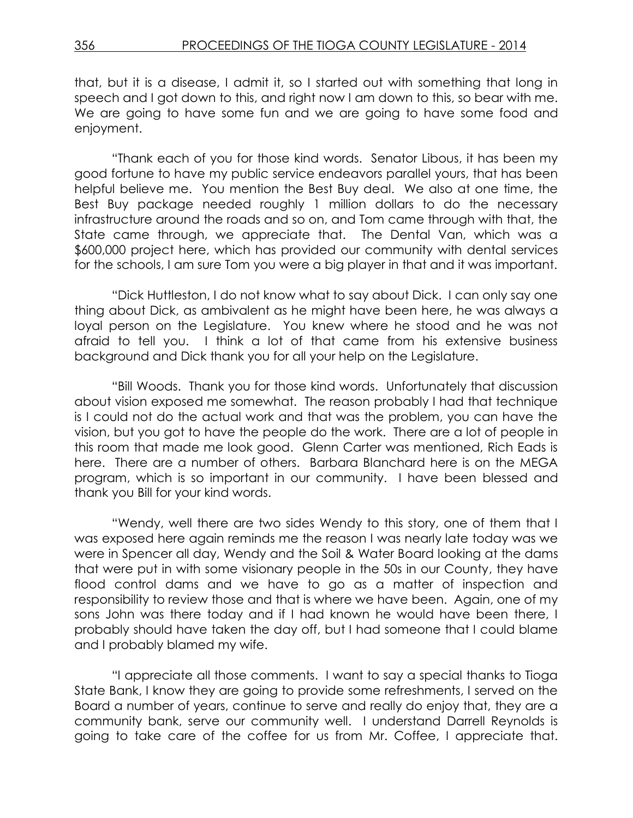that, but it is a disease, I admit it, so I started out with something that long in speech and I got down to this, and right now I am down to this, so bear with me. We are going to have some fun and we are going to have some food and enjoyment.

"Thank each of you for those kind words. Senator Libous, it has been my good fortune to have my public service endeavors parallel yours, that has been helpful believe me. You mention the Best Buy deal. We also at one time, the Best Buy package needed roughly 1 million dollars to do the necessary infrastructure around the roads and so on, and Tom came through with that, the State came through, we appreciate that. The Dental Van, which was a \$600,000 project here, which has provided our community with dental services for the schools, I am sure Tom you were a big player in that and it was important.

"Dick Huttleston, I do not know what to say about Dick. I can only say one thing about Dick, as ambivalent as he might have been here, he was always a loyal person on the Legislature. You knew where he stood and he was not afraid to tell you. I think a lot of that came from his extensive business background and Dick thank you for all your help on the Legislature.

"Bill Woods. Thank you for those kind words. Unfortunately that discussion about vision exposed me somewhat. The reason probably I had that technique is I could not do the actual work and that was the problem, you can have the vision, but you got to have the people do the work. There are a lot of people in this room that made me look good. Glenn Carter was mentioned, Rich Eads is here. There are a number of others. Barbara Blanchard here is on the MEGA program, which is so important in our community. I have been blessed and thank you Bill for your kind words.

"Wendy, well there are two sides Wendy to this story, one of them that I was exposed here again reminds me the reason I was nearly late today was we were in Spencer all day, Wendy and the Soil & Water Board looking at the dams that were put in with some visionary people in the 50s in our County, they have flood control dams and we have to go as a matter of inspection and responsibility to review those and that is where we have been. Again, one of my sons John was there today and if I had known he would have been there, I probably should have taken the day off, but I had someone that I could blame and I probably blamed my wife.

"I appreciate all those comments. I want to say a special thanks to Tioga State Bank, I know they are going to provide some refreshments, I served on the Board a number of years, continue to serve and really do enjoy that, they are a community bank, serve our community well. I understand Darrell Reynolds is going to take care of the coffee for us from Mr. Coffee, I appreciate that.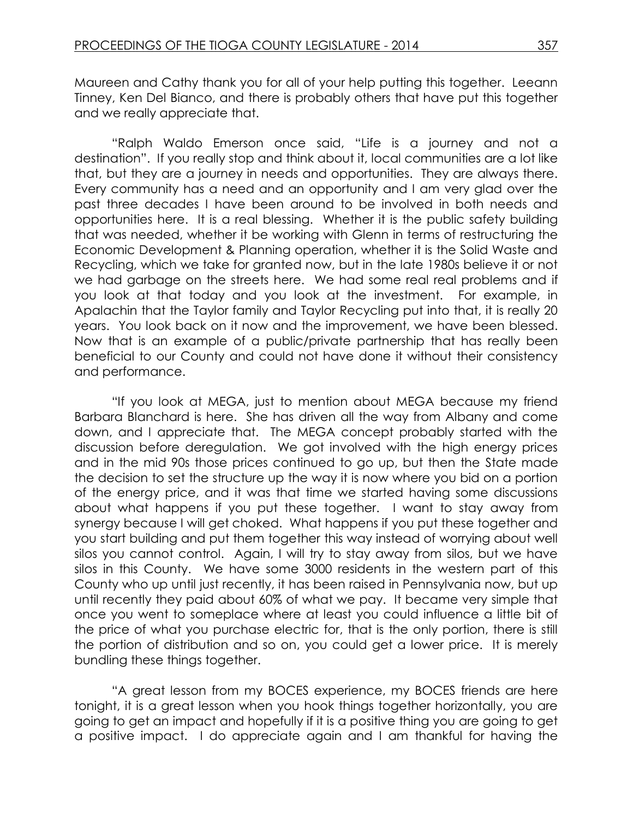Maureen and Cathy thank you for all of your help putting this together. Leeann Tinney, Ken Del Bianco, and there is probably others that have put this together and we really appreciate that.

"Ralph Waldo Emerson once said, "Life is a journey and not a destination". If you really stop and think about it, local communities are a lot like that, but they are a journey in needs and opportunities. They are always there. Every community has a need and an opportunity and I am very glad over the past three decades I have been around to be involved in both needs and opportunities here. It is a real blessing. Whether it is the public safety building that was needed, whether it be working with Glenn in terms of restructuring the Economic Development & Planning operation, whether it is the Solid Waste and Recycling, which we take for granted now, but in the late 1980s believe it or not we had garbage on the streets here. We had some real real problems and if you look at that today and you look at the investment. For example, in Apalachin that the Taylor family and Taylor Recycling put into that, it is really 20 years. You look back on it now and the improvement, we have been blessed. Now that is an example of a public/private partnership that has really been beneficial to our County and could not have done it without their consistency and performance.

"If you look at MEGA, just to mention about MEGA because my friend Barbara Blanchard is here. She has driven all the way from Albany and come down, and I appreciate that. The MEGA concept probably started with the discussion before deregulation. We got involved with the high energy prices and in the mid 90s those prices continued to go up, but then the State made the decision to set the structure up the way it is now where you bid on a portion of the energy price, and it was that time we started having some discussions about what happens if you put these together. I want to stay away from synergy because I will get choked. What happens if you put these together and you start building and put them together this way instead of worrying about well silos you cannot control. Again, I will try to stay away from silos, but we have silos in this County. We have some 3000 residents in the western part of this County who up until just recently, it has been raised in Pennsylvania now, but up until recently they paid about 60% of what we pay. It became very simple that once you went to someplace where at least you could influence a little bit of the price of what you purchase electric for, that is the only portion, there is still the portion of distribution and so on, you could get a lower price. It is merely bundling these things together.

"A great lesson from my BOCES experience, my BOCES friends are here tonight, it is a great lesson when you hook things together horizontally, you are going to get an impact and hopefully if it is a positive thing you are going to get a positive impact. I do appreciate again and I am thankful for having the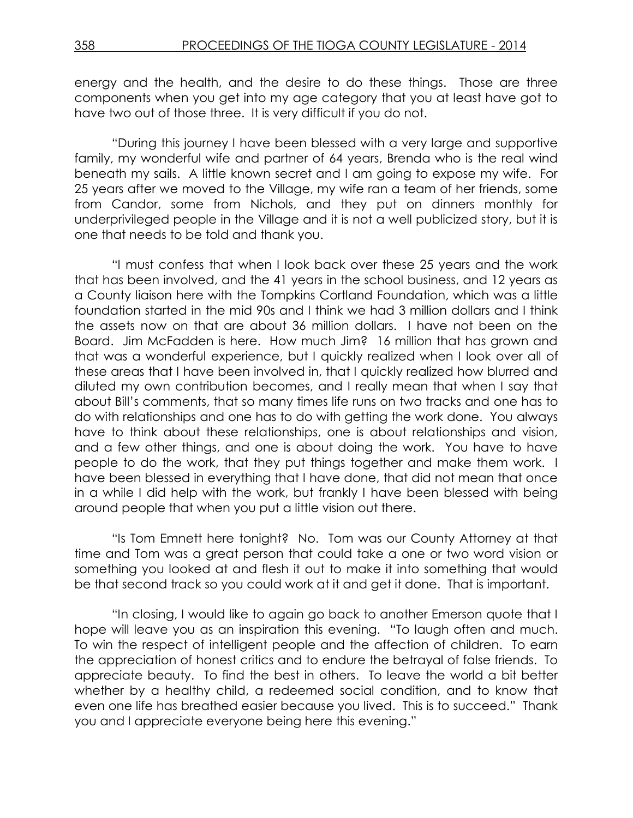energy and the health, and the desire to do these things. Those are three components when you get into my age category that you at least have got to have two out of those three. It is very difficult if you do not.

"During this journey I have been blessed with a very large and supportive family, my wonderful wife and partner of 64 years, Brenda who is the real wind beneath my sails. A little known secret and I am going to expose my wife. For 25 years after we moved to the Village, my wife ran a team of her friends, some from Candor, some from Nichols, and they put on dinners monthly for underprivileged people in the Village and it is not a well publicized story, but it is one that needs to be told and thank you.

"I must confess that when I look back over these 25 years and the work that has been involved, and the 41 years in the school business, and 12 years as a County liaison here with the Tompkins Cortland Foundation, which was a little foundation started in the mid 90s and I think we had 3 million dollars and I think the assets now on that are about 36 million dollars. I have not been on the Board. Jim McFadden is here. How much Jim? 16 million that has grown and that was a wonderful experience, but I quickly realized when I look over all of these areas that I have been involved in, that I quickly realized how blurred and diluted my own contribution becomes, and I really mean that when I say that about Bill's comments, that so many times life runs on two tracks and one has to do with relationships and one has to do with getting the work done. You always have to think about these relationships, one is about relationships and vision, and a few other things, and one is about doing the work. You have to have people to do the work, that they put things together and make them work. I have been blessed in everything that I have done, that did not mean that once in a while I did help with the work, but frankly I have been blessed with being around people that when you put a little vision out there.

"Is Tom Emnett here tonight? No. Tom was our County Attorney at that time and Tom was a great person that could take a one or two word vision or something you looked at and flesh it out to make it into something that would be that second track so you could work at it and get it done. That is important.

"In closing, I would like to again go back to another Emerson quote that I hope will leave you as an inspiration this evening. "To laugh often and much. To win the respect of intelligent people and the affection of children. To earn the appreciation of honest critics and to endure the betrayal of false friends. To appreciate beauty. To find the best in others. To leave the world a bit better whether by a healthy child, a redeemed social condition, and to know that even one life has breathed easier because you lived. This is to succeed." Thank you and I appreciate everyone being here this evening."